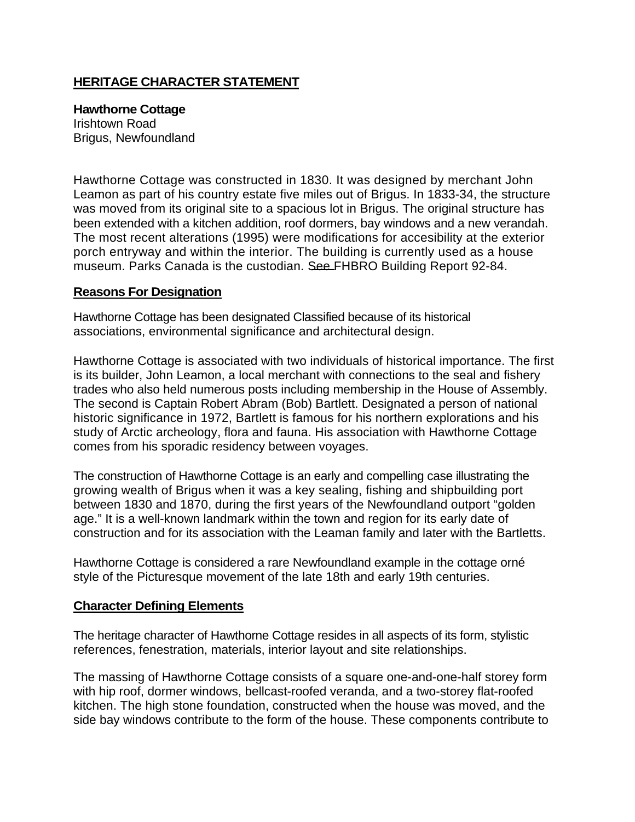## **HERITAGE CHARACTER STATEMENT**

## **Hawthorne Cottage**

Irishtown Road Brigus, Newfoundland

Hawthorne Cottage was constructed in 1830. It was designed by merchant John Leamon as part of his country estate five miles out of Brigus. In 1833-34, the structure was moved from its original site to a spacious lot in Brigus. The original structure has been extended with a kitchen addition, roof dormers, bay windows and a new verandah. The most recent alterations (1995) were modifications for accesibility at the exterior porch entryway and within the interior. The building is currently used as a house museum. Parks Canada is the custodian. See FHBRO Building Report 92-84.

## **Reasons For Designation**

Hawthorne Cottage has been designated Classified because of its historical associations, environmental significance and architectural design.

Hawthorne Cottage is associated with two individuals of historical importance. The first is its builder, John Leamon, a local merchant with connections to the seal and fishery trades who also held numerous posts including membership in the House of Assembly. The second is Captain Robert Abram (Bob) Bartlett. Designated a person of national historic significance in 1972, Bartlett is famous for his northern explorations and his study of Arctic archeology, flora and fauna. His association with Hawthorne Cottage comes from his sporadic residency between voyages.

The construction of Hawthorne Cottage is an early and compelling case illustrating the growing wealth of Brigus when it was a key sealing, fishing and shipbuilding port between 1830 and 1870, during the first years of the Newfoundland outport "golden age." It is a well-known landmark within the town and region for its early date of construction and for its association with the Leaman family and later with the Bartletts.

Hawthorne Cottage is considered a rare Newfoundland example in the cottage orné style of the Picturesque movement of the late 18th and early 19th centuries.

## **Character Defining Elements**

The heritage character of Hawthorne Cottage resides in all aspects of its form, stylistic references, fenestration, materials, interior layout and site relationships.

The massing of Hawthorne Cottage consists of a square one-and-one-half storey form with hip roof, dormer windows, bellcast-roofed veranda, and a two-storey flat-roofed kitchen. The high stone foundation, constructed when the house was moved, and the side bay windows contribute to the form of the house. These components contribute to